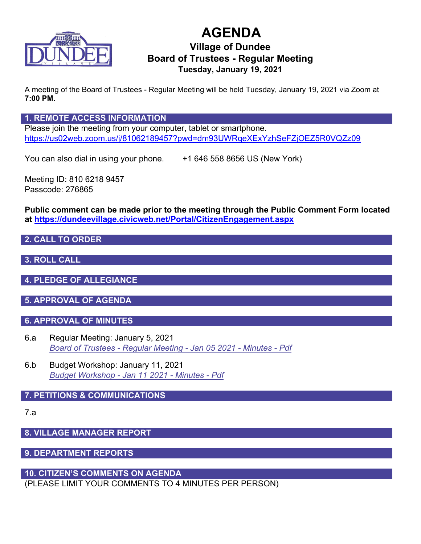

# **AGENDA**

## **Village of Dundee Board of Trustees - Regular Meeting Tuesday, January 19, 2021**

A meeting of the Board of Trustees - Regular Meeting will be held Tuesday, January 19, 2021 via Zoom at **7:00 PM.**

## **1. REMOTE ACCESS INFORMATION**

Please join the meeting from your computer, tablet or smartphone. <https://us02web.zoom.us/j/81062189457?pwd=dm93UWRqeXExYzhSeFZjOEZ5R0VQZz09>

You can also dial in using your phone.  $+16465588656$  US (New York)

Meeting ID: 810 6218 9457 Passcode: 276865

**Public comment can be made prior to the meeting through the Public Comment Form located at<https://dundeevillage.civicweb.net/Portal/CitizenEngagement.aspx>**

## **2. CALL TO ORDER**

## **3. ROLL CALL**

**4. PLEDGE OF ALLEGIANCE**

## **5. APPROVAL OF AGENDA**

## **6. APPROVAL OF MINUTES**

- 6.a Regular Meeting: January 5, 2021 *[Board of Trustees - Regular Meeting - Jan 05 2021 - Minutes - Pdf](http://dundeevillage.civicweb.net/document/7216/Board%20of%20Trustees%20-%20Regular%20Meeting%20-%20Jan%2005%2020.pdf?handle=842D3BDF22544D7585FD5F4A254EFB32)*
- 6.b Budget Workshop: January 11, 2021 *[Budget Workshop - Jan 11 2021 - Minutes - Pdf](http://dundeevillage.civicweb.net/document/7218/Budget%20Workshop%20-%20Jan%2011%202021.pdf?handle=871ADBF9CE144DF48520A82DA2116BE6)*

## **7. PETITIONS & COMMUNICATIONS**

7.a

## **8. VILLAGE MANAGER REPORT**

**9. DEPARTMENT REPORTS**

## **10. CITIZEN'S COMMENTS ON AGENDA**

(PLEASE LIMIT YOUR COMMENTS TO 4 MINUTES PER PERSON)